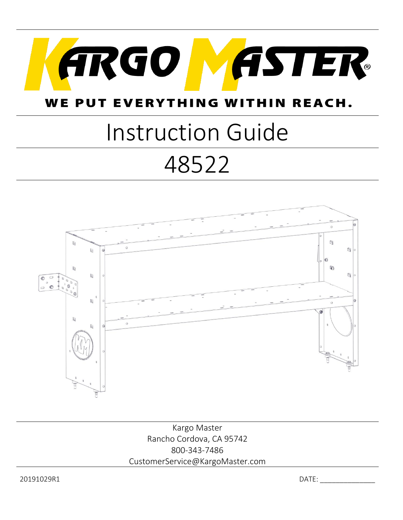

#### WE PUT EVERYTHING IIN REACH. **W**

# Instruction Guide 48522



Kargo Master Rancho Cordova, CA 95742 800-343-7486 CustomerService@KargoMaster.com

20191029R1 DATE: \_\_\_\_\_\_\_\_\_\_\_\_\_\_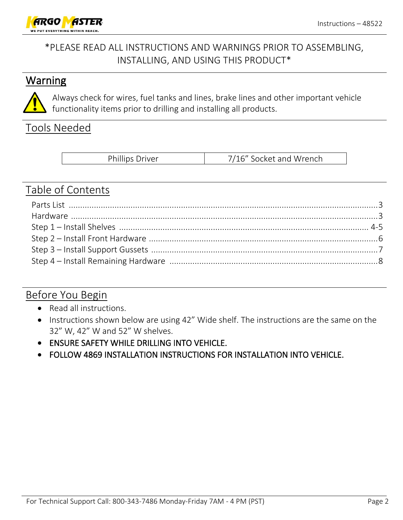

### \*PLEASE READ ALL INSTRUCTIONS AND WARNINGS PRIOR TO ASSEMBLING, INSTALLING, AND USING THIS PRODUCT\*

#### **Warning**



Always check for wires, fuel tanks and lines, brake lines and other important vehicle functionality items prior to drilling and installing all products.

#### Tools Needed

| <b>Phillips Driver</b> | 7/16" Socket and Wrench |
|------------------------|-------------------------|
|------------------------|-------------------------|

#### Table of Contents

#### Before You Begin

- Read all instructions.
- Instructions shown below are using 42" Wide shelf. The instructions are the same on the 32" W, 42" W and 52" W shelves.
- ENSURE SAFETY WHILE DRILLING INTO VEHICLE.
- FOLLOW 4869 INSTALLATION INSTRUCTIONS FOR INSTALLATION INTO VEHICLE.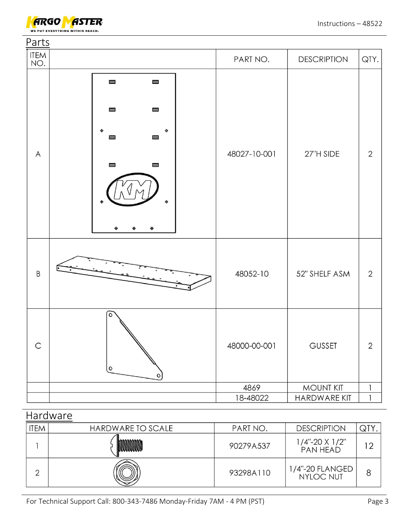

| Parts        |                                                                                                                                                                                                        |              |                    |                |
|--------------|--------------------------------------------------------------------------------------------------------------------------------------------------------------------------------------------------------|--------------|--------------------|----------------|
| ITEM<br>NO.  |                                                                                                                                                                                                        | PART NO.     | <b>DESCRIPTION</b> | QTY.           |
| $\mathsf{A}$ | $\qquad \qquad \blacksquare$<br>$\qquad \qquad \blacksquare$<br>$\qquad \qquad \blacksquare$<br>$\qquad \qquad \blacksquare$<br>$\qquad \qquad \blacksquare$<br>⊟<br>$\qquad \qquad \blacksquare$<br>⊟ | 48027-10-001 | 27"H SIDE          | $\mathbf{2}$   |
| $\sf B$      |                                                                                                                                                                                                        | 48052-10     | 52" SHELF ASM      | $\overline{2}$ |
| $\mathsf C$  | $\circ$<br>$\mathsf{o}$<br>$\circ$                                                                                                                                                                     | 48000-00-001 | <b>GUSSET</b>      | $\overline{2}$ |
|              |                                                                                                                                                                                                        | 4869         | <b>MOUNT KIT</b>   | $\mathbf{1}$   |
|              |                                                                                                                                                                                                        | 18-48022     | HARDWARE KIT       | $\mathbf{1}$   |

| Hardware   |                   |           |                                         |    |  |  |  |
|------------|-------------------|-----------|-----------------------------------------|----|--|--|--|
| <b>TEM</b> | HARDWARE TO SCALE | PART NO.  | <b>DESCRIPTION</b>                      | QT |  |  |  |
|            |                   | 90279A537 | $1/4$ "-20 X $1/2$ "<br><b>PAN HEAD</b> | ာ  |  |  |  |
| ⌒          |                   | 93298A110 | 1/4"-20 FLANGED<br>NYLOC NUT            |    |  |  |  |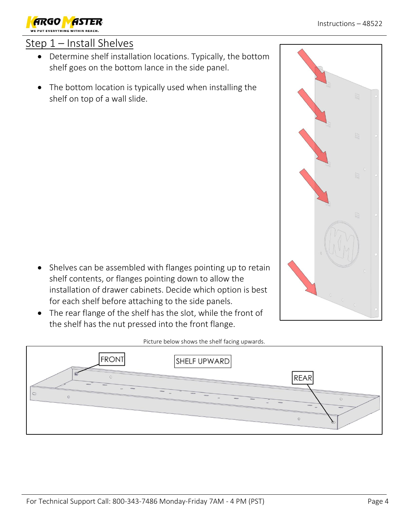## Step 1 – Install Shelves

- Determine shelf installation locations. Typically, the bottom shelf goes on the bottom lance in the side panel.
- The bottom location is typically used when installing the shelf on top of a wall slide.

- Shelves can be assembled with flanges pointing up to retain shelf contents, or flanges pointing down to allow the installation of drawer cabinets. Decide which option is best for each shelf before attaching to the side panels.
- The rear flange of the shelf has the slot, while the front of the shelf has the nut pressed into the front flange.

**FRONT** 

#### Picture below shows the shelf facing upwards.

SHELF UPWARD





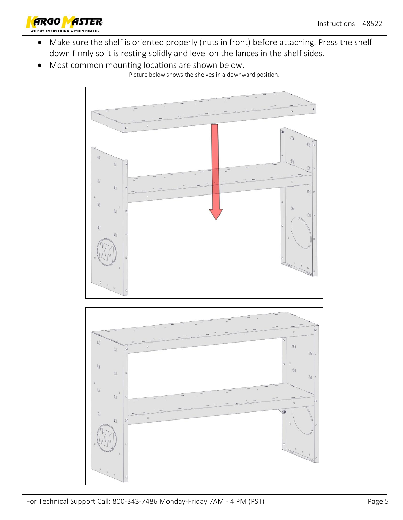

- Make sure the shelf is oriented properly (nuts in front) before attaching. Press the shelf down firmly so it is resting solidly and level on the lances in the shelf sides.
- Most common mounting locations are shown below.

Picture below shows the shelves in a downward position.

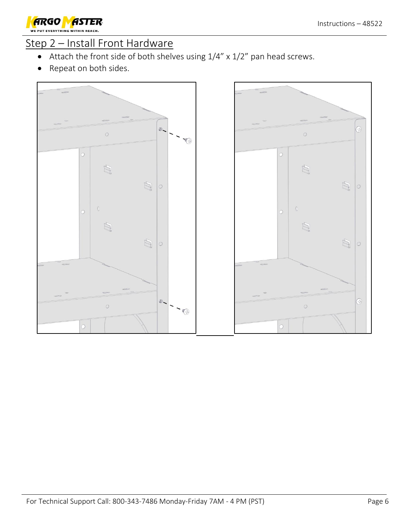

#### Step 2 – Install Front Hardware

- Attach the front side of both shelves using 1/4" x 1/2" pan head screws.
- Repeat on both sides.



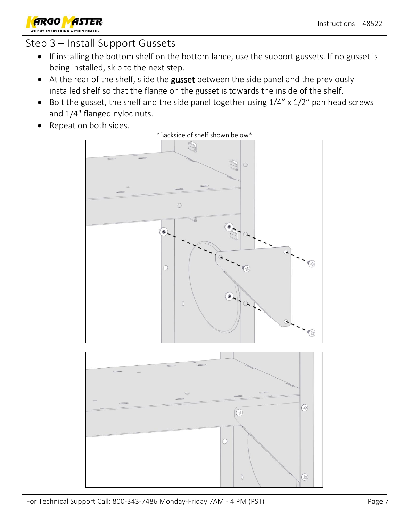

### Step 3 – Install Support Gussets

- If installing the bottom shelf on the bottom lance, use the support gussets. If no gusset is being installed, skip to the next step.
- At the rear of the shelf, slide the gusset between the side panel and the previously installed shelf so that the flange on the gusset is towards the inside of the shelf.
- Bolt the gusset, the shelf and the side panel together using  $1/4''$  x  $1/2''$  pan head screws and 1/4" flanged nyloc nuts.
- Repeat on both sides.



 $\overline{O}$ 

 $\mathbb{O}$ 

 $\odot$ 

\*Backside of shelf shown below\*